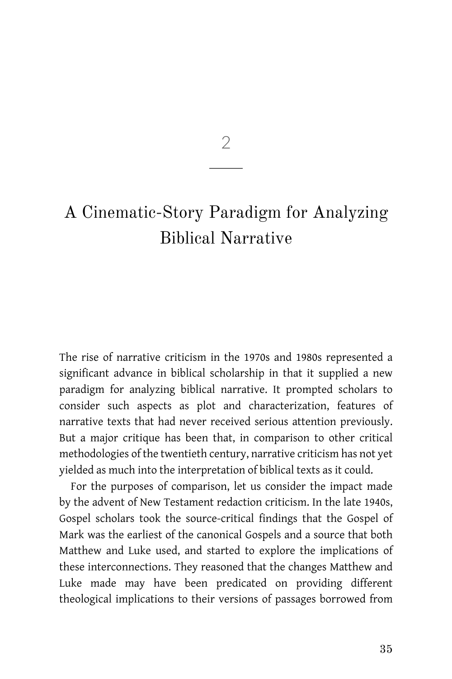$\mathcal{D}$ 

# A Cinematic-Story Paradigm for Analyzing Biblical Narrative

The rise of narrative criticism in the 1970s and 1980s represented a significant advance in biblical scholarship in that it supplied a new paradigm for analyzing biblical narrative. It prompted scholars to consider such aspects as plot and characterization, features of narrative texts that had never received serious attention previously. But a major critique has been that, in comparison to other critical methodologies of the twentieth century, narrative criticism has not yet yielded as much into the interpretation of biblical texts as it could.

For the purposes of comparison, let us consider the impact made by the advent of New Testament redaction criticism. In the late 1940s, Gospel scholars took the source-critical findings that the Gospel of Mark was the earliest of the canonical Gospels and a source that both Matthew and Luke used, and started to explore the implications of these interconnections. They reasoned that the changes Matthew and Luke made may have been predicated on providing different theological implications to their versions of passages borrowed from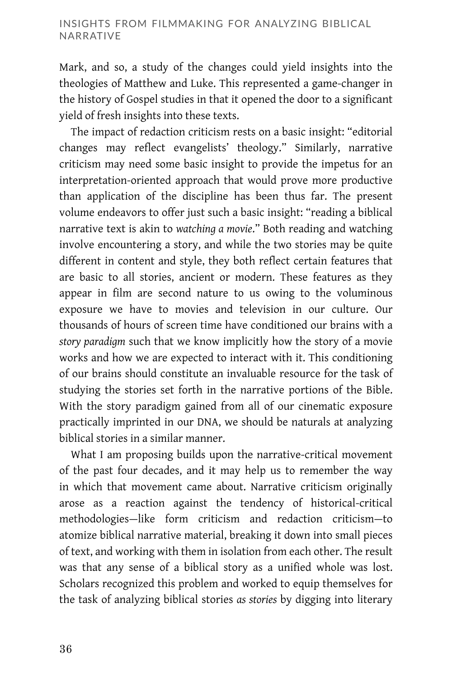Mark, and so, a study of the changes could yield insights into the theologies of Matthew and Luke. This represented a game-changer in the history of Gospel studies in that it opened the door to a significant yield of fresh insights into these texts.

The impact of redaction criticism rests on a basic insight: "editorial changes may reflect evangelists' theology." Similarly, narrative criticism may need some basic insight to provide the impetus for an interpretation-oriented approach that would prove more productive than application of the discipline has been thus far. The present volume endeavors to offer just such a basic insight: "reading a biblical narrative text is akin to *watching a movie*." Both reading and watching involve encountering a story, and while the two stories may be quite different in content and style, they both reflect certain features that are basic to all stories, ancient or modern. These features as they appear in film are second nature to us owing to the voluminous exposure we have to movies and television in our culture. Our thousands of hours of screen time have conditioned our brains with a *story paradigm* such that we know implicitly how the story of a movie works and how we are expected to interact with it. This conditioning of our brains should constitute an invaluable resource for the task of studying the stories set forth in the narrative portions of the Bible. With the story paradigm gained from all of our cinematic exposure practically imprinted in our DNA, we should be naturals at analyzing biblical stories in a similar manner.

What I am proposing builds upon the narrative-critical movement of the past four decades, and it may help us to remember the way in which that movement came about. Narrative criticism originally arose as a reaction against the tendency of historical-critical methodologies—like form criticism and redaction criticism—to atomize biblical narrative material, breaking it down into small pieces of text, and working with them in isolation from each other. The result was that any sense of a biblical story as a unified whole was lost. Scholars recognized this problem and worked to equip themselves for the task of analyzing biblical stories *as stories* by digging into literary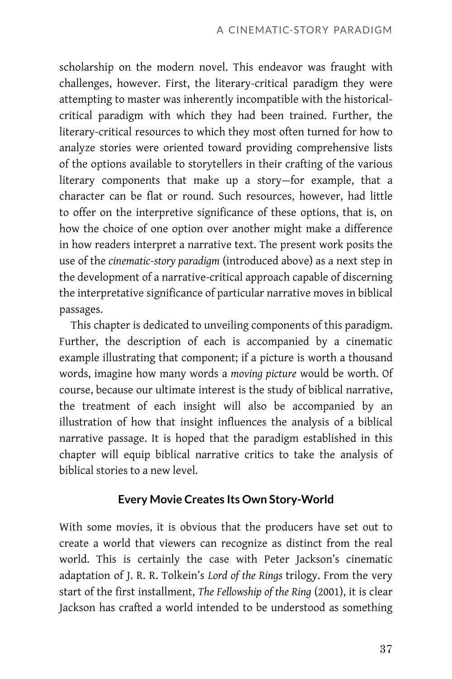scholarship on the modern novel. This endeavor was fraught with challenges, however. First, the literary-critical paradigm they were attempting to master was inherently incompatible with the historicalcritical paradigm with which they had been trained. Further, the literary-critical resources to which they most often turned for how to analyze stories were oriented toward providing comprehensive lists of the options available to storytellers in their crafting of the various literary components that make up a story—for example, that a character can be flat or round. Such resources, however, had little to offer on the interpretive significance of these options, that is, on how the choice of one option over another might make a difference in how readers interpret a narrative text. The present work posits the use of the *cinematic-story paradigm* (introduced above) as a next step in the development of a narrative-critical approach capable of discerning the interpretative significance of particular narrative moves in biblical passages.

This chapter is dedicated to unveiling components of this paradigm. Further, the description of each is accompanied by a cinematic example illustrating that component; if a picture is worth a thousand words, imagine how many words a *moving picture* would be worth. Of course, because our ultimate interest is the study of biblical narrative, the treatment of each insight will also be accompanied by an illustration of how that insight influences the analysis of a biblical narrative passage. It is hoped that the paradigm established in this chapter will equip biblical narrative critics to take the analysis of biblical stories to a new level.

## **Every Movie Creates Its Own Story-World**

With some movies, it is obvious that the producers have set out to create a world that viewers can recognize as distinct from the real world. This is certainly the case with Peter Jackson's cinematic adaptation of J. R. R. Tolkein's *Lord of the Rings* trilogy. From the very start of the first installment, *The Fellowship of the Ring* (2001), it is clear Jackson has crafted a world intended to be understood as something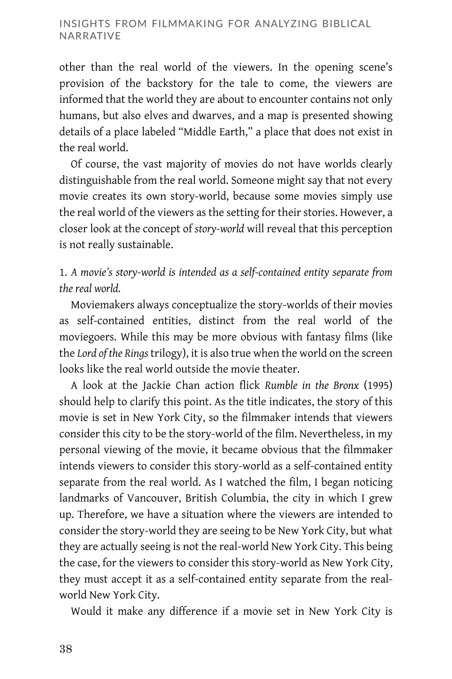other than the real world of the viewers. In the opening scene's provision of the backstory for the tale to come, the viewers are informed that the world they are about to encounter contains not only humans, but also elves and dwarves, and a map is presented showing details of a place labeled "Middle Earth," a place that does not exist in the real world.

Of course, the vast majority of movies do not have worlds clearly distinguishable from the real world. Someone might say that not every movie creates its own story-world, because some movies simply use the real world of the viewers as the setting for their stories. However, a closer look at the concept of *story-world* will reveal that this perception is not really sustainable.

# 1. *A movie's story-world is intended as a self-contained entity separate from the real world.*

Moviemakers always conceptualize the story-worlds of their movies as self-contained entities, distinct from the real world of the moviegoers. While this may be more obvious with fantasy films (like the *Lord of the Rings* trilogy), it is also true when the world on the screen looks like the real world outside the movie theater.

A look at the Jackie Chan action flick *Rumble in the Bronx* (1995) should help to clarify this point. As the title indicates, the story of this movie is set in New York City, so the filmmaker intends that viewers consider this city to be the story-world of the film. Nevertheless, in my personal viewing of the movie, it became obvious that the filmmaker intends viewers to consider this story-world as a self-contained entity separate from the real world. As I watched the film, I began noticing landmarks of Vancouver, British Columbia, the city in which I grew up. Therefore, we have a situation where the viewers are intended to consider the story-world they are seeing to be New York City, but what they are actually seeing is not the real-world New York City. This being the case, for the viewers to consider this story-world as New York City, they must accept it as a self-contained entity separate from the realworld New York City.

Would it make any difference if a movie set in New York City is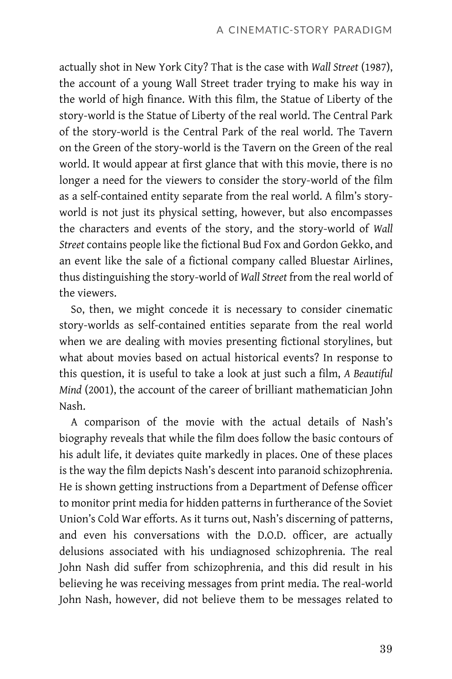actually shot in New York City? That is the case with *Wall Street* (1987), the account of a young Wall Street trader trying to make his way in the world of high finance. With this film, the Statue of Liberty of the story-world is the Statue of Liberty of the real world. The Central Park of the story-world is the Central Park of the real world. The Tavern on the Green of the story-world is the Tavern on the Green of the real world. It would appear at first glance that with this movie, there is no longer a need for the viewers to consider the story-world of the film as a self-contained entity separate from the real world. A film's storyworld is not just its physical setting, however, but also encompasses the characters and events of the story, and the story-world of *Wall Street* contains people like the fictional Bud Fox and Gordon Gekko, and an event like the sale of a fictional company called Bluestar Airlines, thus distinguishing the story-world of *Wall Street* from the real world of the viewers.

So, then, we might concede it is necessary to consider cinematic story-worlds as self-contained entities separate from the real world when we are dealing with movies presenting fictional storylines, but what about movies based on actual historical events? In response to this question, it is useful to take a look at just such a film, *A Beautiful Mind* (2001), the account of the career of brilliant mathematician John Nash.

A comparison of the movie with the actual details of Nash's biography reveals that while the film does follow the basic contours of his adult life, it deviates quite markedly in places. One of these places is the way the film depicts Nash's descent into paranoid schizophrenia. He is shown getting instructions from a Department of Defense officer to monitor print media for hidden patterns in furtherance of the Soviet Union's Cold War efforts. As it turns out, Nash's discerning of patterns, and even his conversations with the D.O.D. officer, are actually delusions associated with his undiagnosed schizophrenia. The real John Nash did suffer from schizophrenia, and this did result in his believing he was receiving messages from print media. The real-world John Nash, however, did not believe them to be messages related to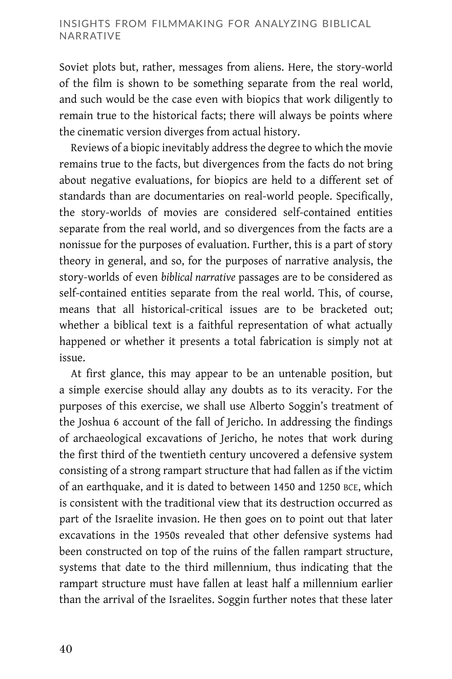#### INSIGHTS FROM FILMMAKING FOR ANALYZING BIBLICAL NARRATIVE

Soviet plots but, rather, messages from aliens. Here, the story-world of the film is shown to be something separate from the real world, and such would be the case even with biopics that work diligently to remain true to the historical facts; there will always be points where the cinematic version diverges from actual history.

Reviews of a biopic inevitably address the degree to which the movie remains true to the facts, but divergences from the facts do not bring about negative evaluations, for biopics are held to a different set of standards than are documentaries on real-world people. Specifically, the story-worlds of movies are considered self-contained entities separate from the real world, and so divergences from the facts are a nonissue for the purposes of evaluation. Further, this is a part of story theory in general, and so, for the purposes of narrative analysis, the story-worlds of even *biblical narrative* passages are to be considered as self-contained entities separate from the real world. This, of course, means that all historical-critical issues are to be bracketed out; whether a biblical text is a faithful representation of what actually happened or whether it presents a total fabrication is simply not at issue.

At first glance, this may appear to be an untenable position, but a simple exercise should allay any doubts as to its veracity. For the purposes of this exercise, we shall use Alberto Soggin's treatment of the Joshua 6 account of the fall of Jericho. In addressing the findings of archaeological excavations of Jericho, he notes that work during the first third of the twentieth century uncovered a defensive system consisting of a strong rampart structure that had fallen as if the victim of an earthquake, and it is dated to between 1450 and 1250 BCE, which is consistent with the traditional view that its destruction occurred as part of the Israelite invasion. He then goes on to point out that later excavations in the 1950s revealed that other defensive systems had been constructed on top of the ruins of the fallen rampart structure, systems that date to the third millennium, thus indicating that the rampart structure must have fallen at least half a millennium earlier than the arrival of the Israelites. Soggin further notes that these later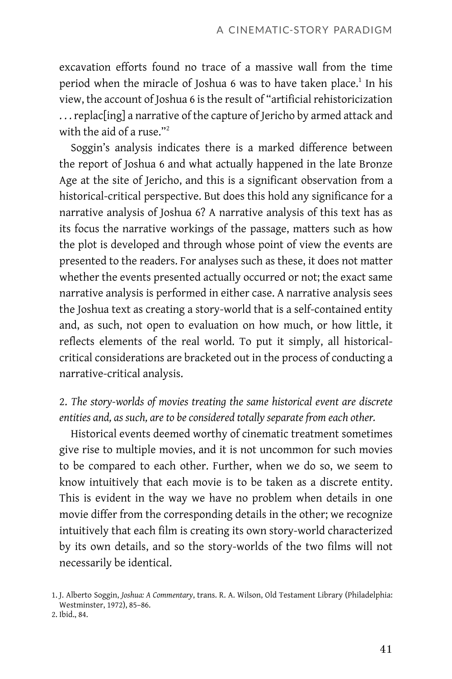excavation efforts found no trace of a massive wall from the time period when the miracle of Joshua 6 was to have taken place.<sup>1</sup> In his view, the account of Joshua 6 is the result of "artificial rehistoricization . . .replac[ing] a narrative of the capture of Jericho by armed attack and with the aid of a ruse."<sup>2</sup>

Soggin's analysis indicates there is a marked difference between the report of Joshua 6 and what actually happened in the late Bronze Age at the site of Jericho, and this is a significant observation from a historical-critical perspective. But does this hold any significance for a narrative analysis of Joshua 6? A narrative analysis of this text has as its focus the narrative workings of the passage, matters such as how the plot is developed and through whose point of view the events are presented to the readers. For analyses such as these, it does not matter whether the events presented actually occurred or not; the exact same narrative analysis is performed in either case. A narrative analysis sees the Joshua text as creating a story-world that is a self-contained entity and, as such, not open to evaluation on how much, or how little, it reflects elements of the real world. To put it simply, all historicalcritical considerations are bracketed out in the process of conducting a narrative-critical analysis.

## 2. *The story-worlds of movies treating the same historical event are discrete entities and, as such, are to be considered totally separate from each other.*

Historical events deemed worthy of cinematic treatment sometimes give rise to multiple movies, and it is not uncommon for such movies to be compared to each other. Further, when we do so, we seem to know intuitively that each movie is to be taken as a discrete entity. This is evident in the way we have no problem when details in one movie differ from the corresponding details in the other; we recognize intuitively that each film is creating its own story-world characterized by its own details, and so the story-worlds of the two films will not necessarily be identical.

<sup>1.</sup> J. Alberto Soggin, *Joshua: A Commentary*, trans. R. A. Wilson, Old Testament Library (Philadelphia: Westminster, 1972), 85–86. 2. Ibid., 84.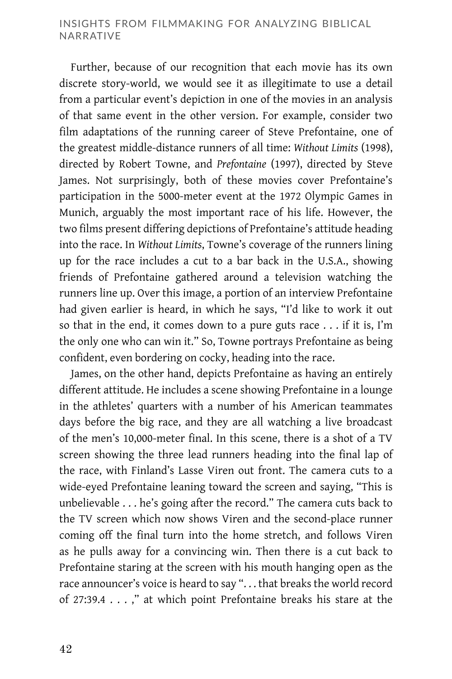#### INSIGHTS FROM FILMMAKING FOR ANALYZING BIBLICAL NARRATIVE

Further, because of our recognition that each movie has its own discrete story-world, we would see it as illegitimate to use a detail from a particular event's depiction in one of the movies in an analysis of that same event in the other version. For example, consider two film adaptations of the running career of Steve Prefontaine, one of the greatest middle-distance runners of all time: *Without Limits* (1998), directed by Robert Towne, and *Prefontaine* (1997), directed by Steve James. Not surprisingly, both of these movies cover Prefontaine's participation in the 5000-meter event at the 1972 Olympic Games in Munich, arguably the most important race of his life. However, the two films present differing depictions of Prefontaine's attitude heading into the race. In *Without Limits*, Towne's coverage of the runners lining up for the race includes a cut to a bar back in the U.S.A., showing friends of Prefontaine gathered around a television watching the runners line up. Over this image, a portion of an interview Prefontaine had given earlier is heard, in which he says, "I'd like to work it out so that in the end, it comes down to a pure guts race . . . if it is, I'm the only one who can win it." So, Towne portrays Prefontaine as being confident, even bordering on cocky, heading into the race.

James, on the other hand, depicts Prefontaine as having an entirely different attitude. He includes a scene showing Prefontaine in a lounge in the athletes' quarters with a number of his American teammates days before the big race, and they are all watching a live broadcast of the men's 10,000-meter final. In this scene, there is a shot of a TV screen showing the three lead runners heading into the final lap of the race, with Finland's Lasse Viren out front. The camera cuts to a wide-eyed Prefontaine leaning toward the screen and saying, "This is unbelievable . . . he's going after the record." The camera cuts back to the TV screen which now shows Viren and the second-place runner coming off the final turn into the home stretch, and follows Viren as he pulls away for a convincing win. Then there is a cut back to Prefontaine staring at the screen with his mouth hanging open as the race announcer's voice is heard to say ". . . that breaks the world record of 27:39.4 . . . ," at which point Prefontaine breaks his stare at the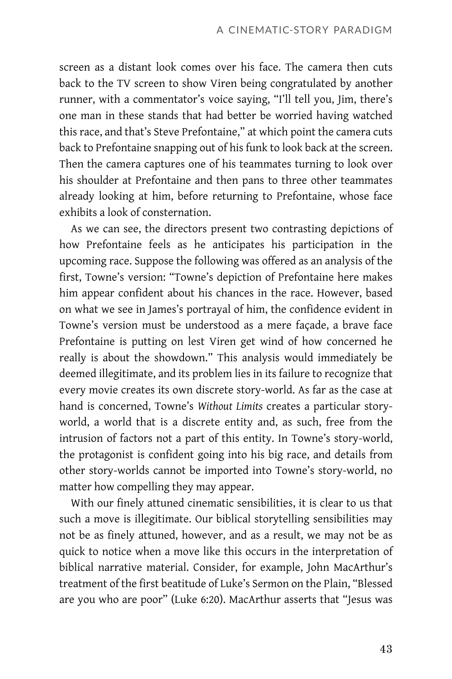screen as a distant look comes over his face. The camera then cuts back to the TV screen to show Viren being congratulated by another runner, with a commentator's voice saying, "I'll tell you, Jim, there's one man in these stands that had better be worried having watched this race, and that's Steve Prefontaine," at which point the camera cuts back to Prefontaine snapping out of his funk to look back at the screen. Then the camera captures one of his teammates turning to look over his shoulder at Prefontaine and then pans to three other teammates already looking at him, before returning to Prefontaine, whose face exhibits a look of consternation.

As we can see, the directors present two contrasting depictions of how Prefontaine feels as he anticipates his participation in the upcoming race. Suppose the following was offered as an analysis of the first, Towne's version: "Towne's depiction of Prefontaine here makes him appear confident about his chances in the race. However, based on what we see in James's portrayal of him, the confidence evident in Towne's version must be understood as a mere façade, a brave face Prefontaine is putting on lest Viren get wind of how concerned he really is about the showdown." This analysis would immediately be deemed illegitimate, and its problem lies in its failure to recognize that every movie creates its own discrete story-world. As far as the case at hand is concerned, Towne's *Without Limits* creates a particular storyworld, a world that is a discrete entity and, as such, free from the intrusion of factors not a part of this entity. In Towne's story-world, the protagonist is confident going into his big race, and details from other story-worlds cannot be imported into Towne's story-world, no matter how compelling they may appear.

With our finely attuned cinematic sensibilities, it is clear to us that such a move is illegitimate. Our biblical storytelling sensibilities may not be as finely attuned, however, and as a result, we may not be as quick to notice when a move like this occurs in the interpretation of biblical narrative material. Consider, for example, John MacArthur's treatment of the first beatitude of Luke's Sermon on the Plain, "Blessed are you who are poor" (Luke 6:20). MacArthur asserts that "Jesus was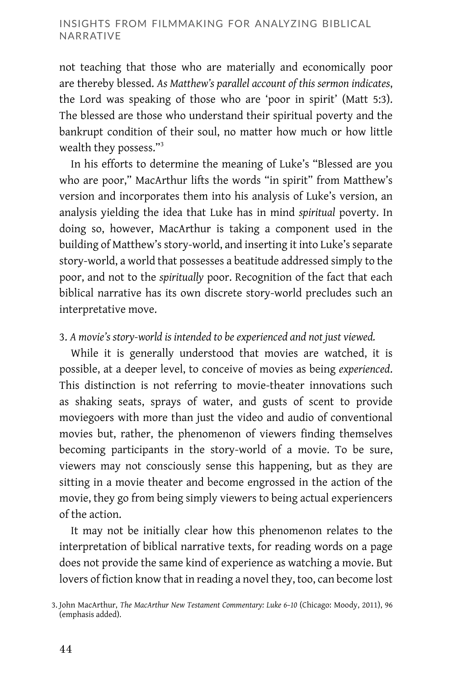not teaching that those who are materially and economically poor are thereby blessed. *As Matthew's parallel account of this sermon indicates*, the Lord was speaking of those who are 'poor in spirit' (Matt 5:3). The blessed are those who understand their spiritual poverty and the bankrupt condition of their soul, no matter how much or how little wealth they possess."<sup>3</sup>

In his efforts to determine the meaning of Luke's "Blessed are you who are poor," MacArthur lifts the words "in spirit" from Matthew's version and incorporates them into his analysis of Luke's version, an analysis yielding the idea that Luke has in mind *spiritual* poverty. In doing so, however, MacArthur is taking a component used in the building of Matthew's story-world, and inserting it into Luke's separate story-world, a world that possesses a beatitude addressed simply to the poor, and not to the *spiritually* poor. Recognition of the fact that each biblical narrative has its own discrete story-world precludes such an interpretative move.

### 3. *A movie's story-world is intended to be experienced and not just viewed.*

While it is generally understood that movies are watched, it is possible, at a deeper level, to conceive of movies as being *experienced*. This distinction is not referring to movie-theater innovations such as shaking seats, sprays of water, and gusts of scent to provide moviegoers with more than just the video and audio of conventional movies but, rather, the phenomenon of viewers finding themselves becoming participants in the story-world of a movie. To be sure, viewers may not consciously sense this happening, but as they are sitting in a movie theater and become engrossed in the action of the movie, they go from being simply viewers to being actual experiencers of the action.

It may not be initially clear how this phenomenon relates to the interpretation of biblical narrative texts, for reading words on a page does not provide the same kind of experience as watching a movie. But lovers of fiction know that in reading a novel they, too, can become lost

<sup>3.</sup> John MacArthur, *The MacArthur New Testament Commentary: Luke 6–10* (Chicago: Moody, 2011), 96 (emphasis added).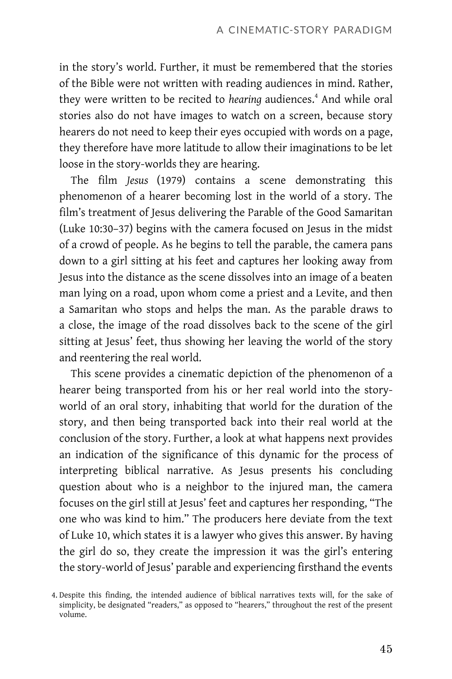in the story's world. Further, it must be remembered that the stories of the Bible were not written with reading audiences in mind. Rather, they were written to be recited to *hearing* audiences.<sup>4</sup> And while oral stories also do not have images to watch on a screen, because story hearers do not need to keep their eyes occupied with words on a page, they therefore have more latitude to allow their imaginations to be let loose in the story-worlds they are hearing.

The film *Jesus* (1979) contains a scene demonstrating this phenomenon of a hearer becoming lost in the world of a story. The film's treatment of Jesus delivering the Parable of the Good Samaritan (Luke 10:30–37) begins with the camera focused on Jesus in the midst of a crowd of people. As he begins to tell the parable, the camera pans down to a girl sitting at his feet and captures her looking away from Jesus into the distance as the scene dissolves into an image of a beaten man lying on a road, upon whom come a priest and a Levite, and then a Samaritan who stops and helps the man. As the parable draws to a close, the image of the road dissolves back to the scene of the girl sitting at Jesus' feet, thus showing her leaving the world of the story and reentering the real world.

This scene provides a cinematic depiction of the phenomenon of a hearer being transported from his or her real world into the storyworld of an oral story, inhabiting that world for the duration of the story, and then being transported back into their real world at the conclusion of the story. Further, a look at what happens next provides an indication of the significance of this dynamic for the process of interpreting biblical narrative. As Jesus presents his concluding question about who is a neighbor to the injured man, the camera focuses on the girl still at Jesus' feet and captures her responding, "The one who was kind to him." The producers here deviate from the text of Luke 10, which states it is a lawyer who gives this answer. By having the girl do so, they create the impression it was the girl's entering the story-world of Jesus' parable and experiencing firsthand the events

<sup>4.</sup> Despite this finding, the intended audience of biblical narratives texts will, for the sake of simplicity, be designated "readers," as opposed to "hearers," throughout the rest of the present volume.